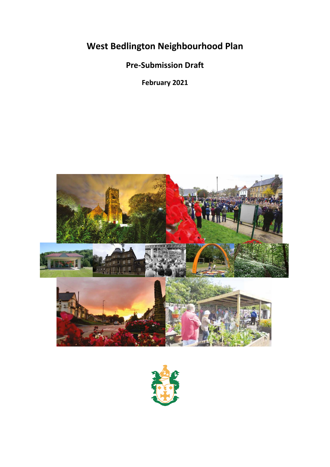**West Bedlington Neighbourhood Plan**

**Pre-Submission Draft**

**February 2021**



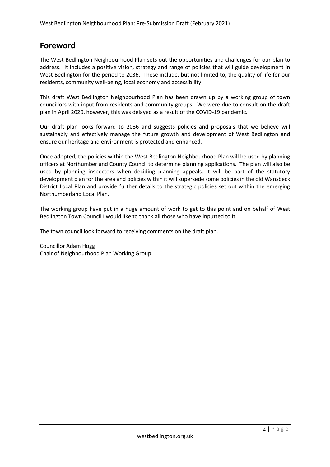## **Foreword**

The West Bedlington Neighbourhood Plan sets out the opportunities and challenges for our plan to address. It includes a positive vision, strategy and range of policies that will guide development in West Bedlington for the period to 2036. These include, but not limited to, the quality of life for our residents, community well-being, local economy and accessibility.

This draft West Bedlington Neighbourhood Plan has been drawn up by a working group of town councillors with input from residents and community groups. We were due to consult on the draft plan in April 2020, however, this was delayed as a result of the COVID-19 pandemic.

Our draft plan looks forward to 2036 and suggests policies and proposals that we believe will sustainably and effectively manage the future growth and development of West Bedlington and ensure our heritage and environment is protected and enhanced.

Once adopted, the policies within the West Bedlington Neighbourhood Plan will be used by planning officers at Northumberland County Council to determine planning applications. The plan will also be used by planning inspectors when deciding planning appeals. It will be part of the statutory development plan for the area and policies within it will supersede some policies in the old Wansbeck District Local Plan and provide further details to the strategic policies set out within the emerging Northumberland Local Plan.

The working group have put in a huge amount of work to get to this point and on behalf of West Bedlington Town Council I would like to thank all those who have inputted to it.

The town council look forward to receiving comments on the draft plan.

Councillor Adam Hogg Chair of Neighbourhood Plan Working Group.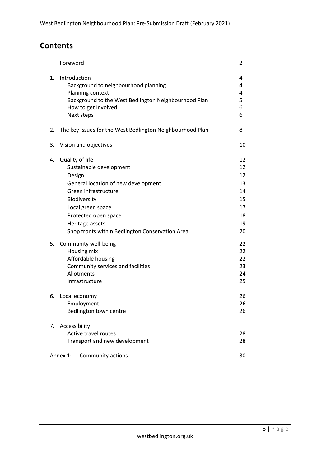# **Contents**

|    | Foreword                                                                                                                                                                                                                                               | 2                                                        |
|----|--------------------------------------------------------------------------------------------------------------------------------------------------------------------------------------------------------------------------------------------------------|----------------------------------------------------------|
| 1. | Introduction<br>Background to neighbourhood planning<br>Planning context<br>Background to the West Bedlington Neighbourhood Plan<br>How to get involved<br>Next steps                                                                                  | 4<br>4<br>4<br>5<br>6<br>6                               |
| 2. | The key issues for the West Bedlington Neighbourhood Plan                                                                                                                                                                                              | 8                                                        |
| 3. | Vision and objectives                                                                                                                                                                                                                                  | 10                                                       |
| 4. | Quality of life<br>Sustainable development<br>Design<br>General location of new development<br>Green infrastructure<br>Biodiversity<br>Local green space<br>Protected open space<br>Heritage assets<br>Shop fronts within Bedlington Conservation Area | 12<br>12<br>12<br>13<br>14<br>15<br>17<br>18<br>19<br>20 |
| 5. | Community well-being<br>Housing mix<br>Affordable housing<br>Community services and facilities<br>Allotments<br>Infrastructure                                                                                                                         | 22<br>22<br>22<br>23<br>24<br>25                         |
| 6. | Local economy<br>Employment<br>Bedlington town centre                                                                                                                                                                                                  | 26<br>26<br>26                                           |
| 7. | Accessibility<br>Active travel routes<br>Transport and new development<br>Annex 1:<br>Community actions                                                                                                                                                | 28<br>28<br>30                                           |
|    |                                                                                                                                                                                                                                                        |                                                          |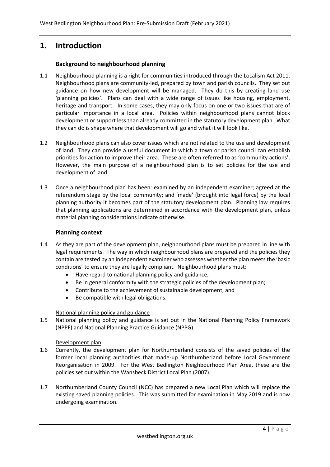## **1. Introduction**

#### **Background to neighbourhood planning**

- 1.1 Neighbourhood planning is a right for communities introduced through the Localism Act 2011. Neighbourhood plans are community-led, prepared by town and parish councils. They set out guidance on how new development will be managed. They do this by creating land use 'planning policies'. Plans can deal with a wide range of issues like housing, employment, heritage and transport. In some cases, they may only focus on one or two issues that are of particular importance in a local area. Policies within neighbourhood plans cannot block development or support less than already committed in the statutory development plan. What they can do is shape where that development will go and what it will look like.
- 1.2 Neighbourhood plans can also cover issues which are not related to the use and development of land. They can provide a useful document in which a town or parish council can establish priorities for action to improve their area. These are often referred to as 'community actions'. However, the main purpose of a neighbourhood plan is to set policies for the use and development of land.
- 1.3 Once a neighbourhood plan has been: examined by an independent examiner; agreed at the referendum stage by the local community; and 'made' (brought into legal force) by the local planning authority it becomes part of the statutory development plan. Planning law requires that planning applications are determined in accordance with the development plan, unless material planning considerations indicate otherwise.

#### **Planning context**

- 1.4 As they are part of the development plan, neighbourhood plans must be prepared in line with legal requirements. The way in which neighbourhood plans are prepared and the policies they contain are tested by an independent examiner who assesses whether the plan meets the 'basic conditions' to ensure they are legally compliant. Neighbourhood plans must:
	- Have regard to national planning policy and guidance;
	- Be in general conformity with the strategic policies of the development plan;
	- Contribute to the achievement of sustainable development; and
	- Be compatible with legal obligations.

#### National planning policy and guidance

1.5 National planning policy and guidance is set out in the National Planning Policy Framework (NPPF) and National Planning Practice Guidance (NPPG).

#### Development plan

- 1.6 Currently, the development plan for Northumberland consists of the saved policies of the former local planning authorities that made-up Northumberland before Local Government Reorganisation in 2009. For the West Bedlington Neighbourhood Plan Area, these are the policies set out within the Wansbeck District Local Plan (2007).
- 1.7 Northumberland County Council (NCC) has prepared a new Local Plan which will replace the existing saved planning policies. This was submitted for examination in May 2019 and is now undergoing examination.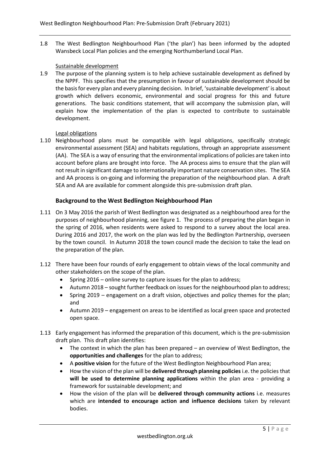1.8 The West Bedlington Neighbourhood Plan ('the plan') has been informed by the adopted Wansbeck Local Plan policies and the emerging Northumberland Local Plan.

#### Sustainable development

1.9 The purpose of the planning system is to help achieve sustainable development as defined by the NPPF. This specifies that the presumption in favour of sustainable development should be the basis for every plan and every planning decision. In brief, 'sustainable development' is about growth which delivers economic, environmental and social progress for this and future generations. The basic conditions statement, that will accompany the submission plan, will explain how the implementation of the plan is expected to contribute to sustainable development.

#### Legal obligations

1.10 Neighbourhood plans must be compatible with legal obligations, specifically strategic environmental assessment (SEA) and habitats regulations, through an appropriate assessment (AA). The SEA is a way of ensuring that the environmental implications of policies are taken into account before plans are brought into force. The AA process aims to ensure that the plan will not result in significant damage to internationally important nature conservation sites. The SEA and AA process is on-going and informing the preparation of the neighbourhood plan. A draft SEA and AA are available for comment alongside this pre-submission draft plan.

#### **Background to the West Bedlington Neighbourhood Plan**

- 1.11 On 3 May 2016 the parish of West Bedlington was designated as a neighbourhood area for the purposes of neighbourhood planning, see figure 1. The process of preparing the plan began in the spring of 2016, when residents were asked to respond to a survey about the local area. During 2016 and 2017, the work on the plan was led by the Bedlington Partnership, overseen by the town council. In Autumn 2018 the town council made the decision to take the lead on the preparation of the plan.
- 1.12 There have been four rounds of early engagement to obtain views of the local community and other stakeholders on the scope of the plan.
	- Spring 2016 online survey to capture issues for the plan to address;
	- Autumn 2018 sought further feedback on issues for the neighbourhood plan to address;
	- Spring 2019 engagement on a draft vision, objectives and policy themes for the plan; and
	- Autumn 2019 engagement on areas to be identified as local green space and protected open space.
- 1.13 Early engagement has informed the preparation of this document, which is the pre-submission draft plan. This draft plan identifies:
	- The context in which the plan has been prepared an overview of West Bedlington, the **opportunities and challenges** for the plan to address;
	- A **positive vision** for the future of the West Bedlington Neighbourhood Plan area;
	- How the vision of the plan will be **delivered through planning policies** i.e. the policies that **will be used to determine planning applications** within the plan area - providing a framework for sustainable development; and
	- How the vision of the plan will be **delivered through community actions** i.e. measures which are **intended to encourage action and influence decisions** taken by relevant bodies.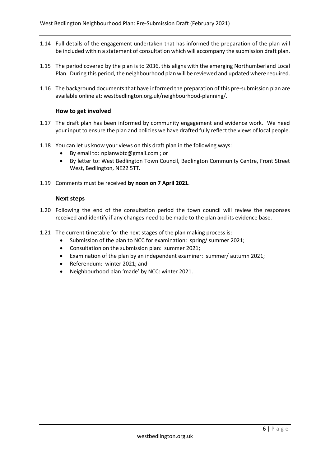- 1.14 Full details of the engagement undertaken that has informed the preparation of the plan will be included within a statement of consultation which will accompany the submission draft plan.
- 1.15 The period covered by the plan is to 2036, this aligns with the emerging Northumberland Local Plan. During this period, the neighbourhood plan will be reviewed and updated where required.
- 1.16 The background documents that have informed the preparation of this pre-submission plan are available online at: westbedlington.org.uk/neighbourhood-planning/.

#### **How to get involved**

- 1.17 The draft plan has been informed by community engagement and evidence work. We need your input to ensure the plan and policies we have drafted fully reflect the views of local people.
- 1.18 You can let us know your views on this draft plan in the following ways:
	- By email to: nplanwbtc@gmail.com ; or
	- By letter to: West Bedlington Town Council, Bedlington Community Centre, Front Street West, Bedlington, NE22 5TT.
- 1.19 Comments must be received **by noon on 7 April 2021**.

#### **Next steps**

- 1.20 Following the end of the consultation period the town council will review the responses received and identify if any changes need to be made to the plan and its evidence base.
- 1.21 The current timetable for the next stages of the plan making process is:
	- Submission of the plan to NCC for examination: spring/ summer 2021;
	- Consultation on the submission plan: summer 2021;
	- Examination of the plan by an independent examiner: summer/ autumn 2021;
	- Referendum: winter 2021; and
	- Neighbourhood plan 'made' by NCC: winter 2021.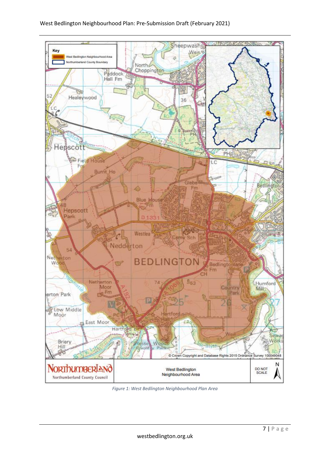

*Figure 1: West Bedlington Neighbourhood Plan Area*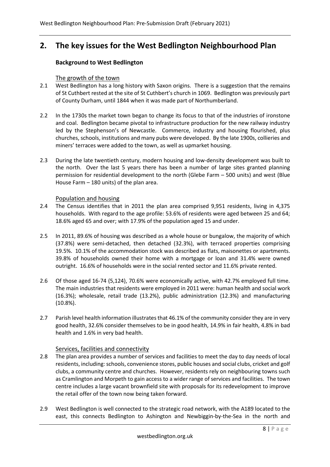# **2. The key issues for the West Bedlington Neighbourhood Plan**

#### **Background to West Bedlington**

#### The growth of the town

- 2.1 West Bedlington has a long history with Saxon origins. There is a suggestion that the remains of St Cuthbert rested at the site of St Cuthbert's church in 1069. Bedlington was previously part of County Durham, until 1844 when it was made part of Northumberland.
- 2.2 In the 1730s the market town began to change its focus to that of the industries of ironstone and coal. Bedlington became pivotal to infrastructure production for the new railway industry led by the Stephenson's of Newcastle. Commerce, industry and housing flourished, plus churches, schools, institutions and many pubs were developed. By the late 1900s, collieries and miners' terraces were added to the town, as well as upmarket housing.
- 2.3 During the late twentieth century, modern housing and low-density development was built to the north. Over the last 5 years there has been a number of large sites granted planning permission for residential development to the north (Glebe Farm – 500 units) and west (Blue House Farm – 180 units) of the plan area.

#### Population and housing

- 2.4 The Census identifies that in 2011 the plan area comprised 9,951 residents, living in 4,375 households. With regard to the age profile: 53.6% of residents were aged between 25 and 64; 18.6% aged 65 and over; with 17.9% of the population aged 15 and under.
- 2.5 In 2011, 89.6% of housing was described as a whole house or bungalow, the majority of which (37.8%) were semi-detached, then detached (32.3%), with terraced properties comprising 19.5%. 10.1% of the accommodation stock was described as flats, maisonettes or apartments. 39.8% of households owned their home with a mortgage or loan and 31.4% were owned outright. 16.6% of households were in the social rented sector and 11.6% private rented.
- 2.6 Of those aged 16-74 (5,124), 70.6% were economically active, with 42.7% employed full time. The main industries that residents were employed in 2011 were: human health and social work (16.3%); wholesale, retail trade (13.2%), public administration (12.3%) and manufacturing (10.8%).
- 2.7 Parish level health information illustrates that 46.1% of the community consider they are in very good health, 32.6% consider themselves to be in good health, 14.9% in fair health, 4.8% in bad health and 1.6% in very bad health.

#### Services, facilities and connectivity

- 2.8 The plan area provides a number of services and facilities to meet the day to day needs of local residents, including: schools, convenience stores, public houses and social clubs, cricket and golf clubs, a community centre and churches. However, residents rely on neighbouring towns such as Cramlington and Morpeth to gain access to a wider range of services and facilities. The town centre includes a large vacant brownfield site with proposals for its redevelopment to improve the retail offer of the town now being taken forward.
- 2.9 West Bedlington is well connected to the strategic road network, with the A189 located to the east, this connects Bedlington to Ashington and Newbiggin-by-the-Sea in the north and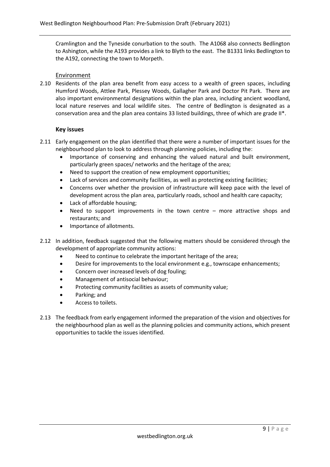Cramlington and the Tyneside conurbation to the south. The A1068 also connects Bedlington to Ashington, while the A193 provides a link to Blyth to the east. The B1331 links Bedlington to the A192, connecting the town to Morpeth.

#### Environment

2.10 Residents of the plan area benefit from easy access to a wealth of green spaces, including Humford Woods, Attlee Park, Plessey Woods, Gallagher Park and Doctor Pit Park. There are also important environmental designations within the plan area, including ancient woodland, local nature reserves and local wildlife sites. The centre of Bedlington is designated as a conservation area and the plan area contains 33 listed buildings, three of which are grade II\*.

#### **Key issues**

- 2.11 Early engagement on the plan identified that there were a number of important issues for the neighbourhood plan to look to address through planning policies, including the:
	- Importance of conserving and enhancing the valued natural and built environment, particularly green spaces/ networks and the heritage of the area;
	- Need to support the creation of new employment opportunities;
	- Lack of services and community facilities, as well as protecting existing facilities;
	- Concerns over whether the provision of infrastructure will keep pace with the level of development across the plan area, particularly roads, school and health care capacity;
	- Lack of affordable housing;
	- Need to support improvements in the town centre  $-$  more attractive shops and restaurants; and
	- Importance of allotments.
- 2.12 In addition, feedback suggested that the following matters should be considered through the development of appropriate community actions:
	- Need to continue to celebrate the important heritage of the area;
	- Desire for improvements to the local environment e.g., townscape enhancements;
	- Concern over increased levels of dog fouling;
	- Management of antisocial behaviour;
	- Protecting community facilities as assets of community value;
	- Parking; and
	- Access to toilets.
- 2.13 The feedback from early engagement informed the preparation of the vision and objectives for the neighbourhood plan as well as the planning policies and community actions, which present opportunities to tackle the issues identified.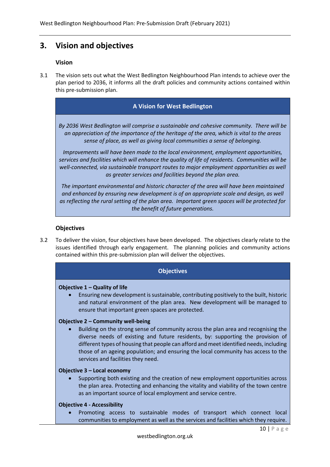## **3. Vision and objectives**

#### **Vision**

3.1 The vision sets out what the West Bedlington Neighbourhood Plan intends to achieve over the plan period to 2036, it informs all the draft policies and community actions contained within this pre-submission plan.

#### **A Vision for West Bedlington**

*By 2036 West Bedlington will comprise a sustainable and cohesive community. There will be an appreciation of the importance of the heritage of the area, which is vital to the areas sense of place, as well as giving local communities a sense of belonging.*

*Improvements will have been made to the local environment, employment opportunities, services and facilities which will enhance the quality of life of residents. Communities will be*  well-connected, via sustainable transport routes to major employment opportunities as well *as greater services and facilities beyond the plan area.*

*The important environmental and historic character of the area will have been maintained and enhanced by ensuring new development is of an appropriate scale and design, as well as reflecting the rural setting of the plan area. Important green spaces will be protected for the benefit of future generations.*

#### **Objectives**

3.2 To deliver the vision, four objectives have been developed. The objectives clearly relate to the issues identified through early engagement. The planning policies and community actions contained within this pre-submission plan will deliver the objectives.

#### **Objectives**

#### **Objective 1 – Quality of life**

• Ensuring new development is sustainable, contributing positively to the built, historic and natural environment of the plan area. New development will be managed to ensure that important green spaces are protected.

#### **Objective 2 – Community well-being**

• Building on the strong sense of community across the plan area and recognising the diverse needs of existing and future residents, by: supporting the provision of different types of housing that people can afford and meet identified needs, including those of an ageing population; and ensuring the local community has access to the services and facilities they need.

#### **Objective 3 – Local economy**

• Supporting both existing and the creation of new employment opportunities across the plan area. Protecting and enhancing the vitality and viability of the town centre as an important source of local employment and service centre.

#### **Objective 4 - Accessibility**

• Promoting access to sustainable modes of transport which connect local communities to employment as well as the services and facilities which they require.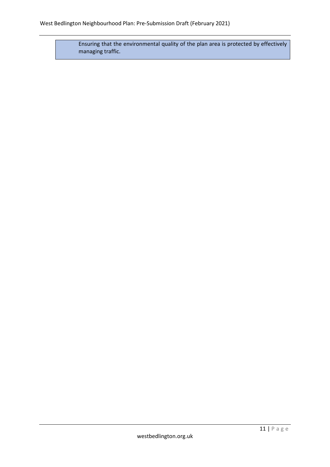Ensuring that the environmental quality of the plan area is protected by effectively managing traffic.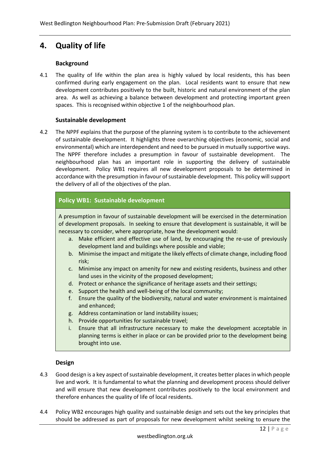# **4. Quality of life**

### **Background**

4.1 The quality of life within the plan area is highly valued by local residents, this has been confirmed during early engagement on the plan. Local residents want to ensure that new development contributes positively to the built, historic and natural environment of the plan area. As well as achieving a balance between development and protecting important green spaces. This is recognised within objective 1 of the neighbourhood plan.

#### **Sustainable development**

4.2 The NPPF explains that the purpose of the planning system is to contribute to the achievement of sustainable development. It highlights three overarching objectives (economic, social and environmental) which are interdependent and need to be pursued in mutually supportive ways. The NPPF therefore includes a presumption in favour of sustainable development. The neighbourhood plan has an important role in supporting the delivery of sustainable development. Policy WB1 requires all new development proposals to be determined in accordance with the presumption in favour of sustainable development. This policy will support the delivery of all of the objectives of the plan.

## **Policy WB1: Sustainable development**

A presumption in favour of sustainable development will be exercised in the determination of development proposals. In seeking to ensure that development is sustainable, it will be necessary to consider, where appropriate, how the development would:

- a. Make efficient and effective use of land, by encouraging the re-use of previously development land and buildings where possible and viable;
- b. Minimise the impact and mitigate the likely effects of climate change, including flood risk;
- c. Minimise any impact on amenity for new and existing residents, business and other land uses in the vicinity of the proposed development;
- d. Protect or enhance the significance of heritage assets and their settings;
- e. Support the health and well-being of the local community;
- f. Ensure the quality of the biodiversity, natural and water environment is maintained and enhanced;
- g. Address contamination or land instability issues;
- h. Provide opportunities for sustainable travel;
- i. Ensure that all infrastructure necessary to make the development acceptable in planning terms is either in place or can be provided prior to the development being brought into use.

#### **Design**

- 4.3 Good design is a key aspect of sustainable development, it creates better places in which people live and work. It is fundamental to what the planning and development process should deliver and will ensure that new development contributes positively to the local environment and therefore enhances the quality of life of local residents.
- 4.4 Policy WB2 encourages high quality and sustainable design and sets out the key principles that should be addressed as part of proposals for new development whilst seeking to ensure the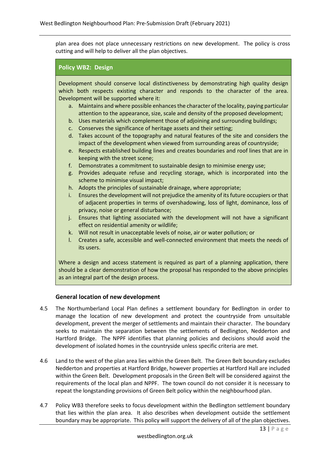plan area does not place unnecessary restrictions on new development. The policy is cross cutting and will help to deliver all the plan objectives.

#### **Policy WB2: Design**

Development should conserve local distinctiveness by demonstrating high quality design which both respects existing character and responds to the character of the area. Development will be supported where it:

- a. Maintains and where possible enhances the character of the locality, paying particular attention to the appearance, size, scale and density of the proposed development;
- b. Uses materials which complement those of adjoining and surrounding buildings;
- c. Conserves the significance of heritage assets and their setting;
- d. Takes account of the topography and natural features of the site and considers the impact of the development when viewed from surrounding areas of countryside;
- e. Respects established building lines and creates boundaries and roof lines that are in keeping with the street scene;
- f. Demonstrates a commitment to sustainable design to minimise energy use;
- g. Provides adequate refuse and recycling storage, which is incorporated into the scheme to minimise visual impact;
- h. Adopts the principles of sustainable drainage, where appropriate;
- i. Ensures the development will not prejudice the amenity of its future occupiers or that of adjacent properties in terms of overshadowing, loss of light, dominance, loss of privacy, noise or general disturbance;
- j. Ensures that lighting associated with the development will not have a significant effect on residential amenity or wildlife;
- k. Will not result in unacceptable levels of noise, air or water pollution; or
- l. Creates a safe, accessible and well-connected environment that meets the needs of its users.

Where a design and access statement is required as part of a planning application, there should be a clear demonstration of how the proposal has responded to the above principles as an integral part of the design process.

#### **General location of new development**

- 4.5 The Northumberland Local Plan defines a settlement boundary for Bedlington in order to manage the location of new development and protect the countryside from unsuitable development, prevent the merger of settlements and maintain their character. The boundary seeks to maintain the separation between the settlements of Bedlington, Nedderton and Hartford Bridge. The NPPF identifies that planning policies and decisions should avoid the development of isolated homes in the countryside unless specific criteria are met.
- 4.6 Land to the west of the plan area lies within the Green Belt. The Green Belt boundary excludes Nedderton and properties at Hartford Bridge, however properties at Hartford Hall are included within the Green Belt. Development proposals in the Green Belt will be considered against the requirements of the local plan and NPPF. The town council do not consider it is necessary to repeat the longstanding provisions of Green Belt policy within the neighbourhood plan.
- 4.7 Policy WB3 therefore seeks to focus development within the Bedlington settlement boundary that lies within the plan area. It also describes when development outside the settlement boundary may be appropriate. This policy will support the delivery of all of the plan objectives.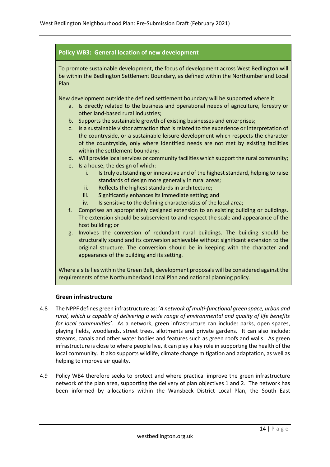## **Policy WB3: General location of new development**

To promote sustainable development, the focus of development across West Bedlington will be within the Bedlington Settlement Boundary, as defined within the Northumberland Local Plan.

New development outside the defined settlement boundary will be supported where it:

- a. Is directly related to the business and operational needs of agriculture, forestry or other land-based rural industries;
- b. Supports the sustainable growth of existing businesses and enterprises;
- c. Is a sustainable visitor attraction that is related to the experience or interpretation of the countryside, or a sustainable leisure development which respects the character of the countryside, only where identified needs are not met by existing facilities within the settlement boundary;
- d. Will provide local services or community facilities which support the rural community;
- e. Is a house, the design of which:
	- i. Is truly outstanding or innovative and of the highest standard, helping to raise standards of design more generally in rural areas;
	- ii. Reflects the highest standards in architecture;
	- iii. Significantly enhances its immediate setting; and
	- iv. Is sensitive to the defining characteristics of the local area;
- f. Comprises an appropriately designed extension to an existing building or buildings. The extension should be subservient to and respect the scale and appearance of the host building; or
- g. Involves the conversion of redundant rural buildings. The building should be structurally sound and its conversion achievable without significant extension to the original structure. The conversion should be in keeping with the character and appearance of the building and its setting.

Where a site lies within the Green Belt, development proposals will be considered against the requirements of the Northumberland Local Plan and national planning policy.

#### **Green infrastructure**

- 4.8 The NPPF defines green infrastructure as: '*A network of multi-functional green space, urban and rural, which is capable of delivering a wide range of environmental and quality of life benefits for local communities'.* As a network, green infrastructure can include: parks, open spaces, playing fields, woodlands, street trees, allotments and private gardens. It can also include: streams, canals and other water bodies and features such as green roofs and walls. As green infrastructure is close to where people live, it can play a key role in supporting the health of the local community. It also supports wildlife, climate change mitigation and adaptation, as well as helping to improve air quality.
- 4.9 Policy WB4 therefore seeks to protect and where practical improve the green infrastructure network of the plan area, supporting the delivery of plan objectives 1 and 2. The network has been informed by allocations within the Wansbeck District Local Plan, the South East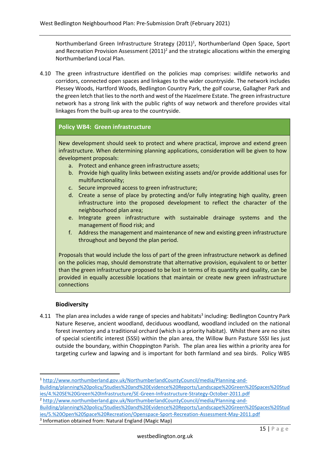Northumberland Green Infrastructure Strategy (2011)<sup>1</sup>, Northumberland Open Space, Sport and Recreation Provision Assessment  $(2011)^2$  and the strategic allocations within the emerging Northumberland Local Plan.

4.10 The green infrastructure identified on the policies map comprises: wildlife networks and corridors, connected open spaces and linkages to the wider countryside. The network includes Plessey Woods, Hartford Woods, Bedlington Country Park, the golf course, Gallagher Park and the green letch that lies to the north and west of the Hazelmere Estate. The green infrastructure network has a strong link with the public rights of way network and therefore provides vital linkages from the built-up area to the countryside.

## **Policy WB4: Green infrastructure**

New development should seek to protect and where practical, improve and extend green infrastructure. When determining planning applications, consideration will be given to how development proposals:

- a. Protect and enhance green infrastructure assets;
- b. Provide high quality links between existing assets and/or provide additional uses for multifunctionality;
- c. Secure improved access to green infrastructure;
- d. Create a sense of place by protecting and/or fully integrating high quality, green infrastructure into the proposed development to reflect the character of the neighbourhood plan area;
- e. Integrate green infrastructure with sustainable drainage systems and the management of flood risk; and
- f. Address the management and maintenance of new and existing green infrastructure throughout and beyond the plan period.

Proposals that would include the loss of part of the green infrastructure network as defined on the policies map, should demonstrate that alternative provision, equivalent to or better than the green infrastructure proposed to be lost in terms of its quantity and quality, can be provided in equally accessible locations that maintain or create new green infrastructure connections

#### **Biodiversity**

4.11 The plan area includes a wide range of species and habitats<sup>3</sup> including: Bedlington Country Park Nature Reserve, ancient woodland, deciduous woodland, woodland included on the national forest inventory and a traditional orchard (which is a priority habitat). Whilst there are no sites of special scientific interest (SSSI) within the plan area, the Willow Burn Pasture SSSI lies just outside the boundary, within Choppington Parish. The plan area lies within a priority area for targeting curlew and lapwing and is important for both farmland and sea birds. Policy WB5

[ies/4.%20SE%20Green%20Infrastructure/SE-Green-Infrastructure-Strategy-October-2011.pdf](http://www.northumberland.gov.uk/NorthumberlandCountyCouncil/media/Planning-and-Building/planning%20policy/Studies%20and%20Evidence%20Reports/Landscape%20Green%20Spaces%20Studies/4.%20SE%20Green%20Infrastructure/SE-Green-Infrastructure-Strategy-October-2011.pdf)

<sup>2</sup> [http://www.northumberland.gov.uk/NorthumberlandCountyCouncil/media/Planning-and-](http://www.northumberland.gov.uk/NorthumberlandCountyCouncil/media/Planning-and-Building/planning%20policy/Studies%20and%20Evidence%20Reports/Landscape%20Green%20Spaces%20Studies/5.%20Open%20Space%20Recreation/Openspace-Sport-Recreation-Assessment-May-2011.pdf)[Building/planning%20policy/Studies%20and%20Evidence%20Reports/Landscape%20Green%20Spaces%20Stud](http://www.northumberland.gov.uk/NorthumberlandCountyCouncil/media/Planning-and-Building/planning%20policy/Studies%20and%20Evidence%20Reports/Landscape%20Green%20Spaces%20Studies/5.%20Open%20Space%20Recreation/Openspace-Sport-Recreation-Assessment-May-2011.pdf) [ies/5.%20Open%20Space%20Recreation/Openspace-Sport-Recreation-Assessment-May-2011.pdf](http://www.northumberland.gov.uk/NorthumberlandCountyCouncil/media/Planning-and-Building/planning%20policy/Studies%20and%20Evidence%20Reports/Landscape%20Green%20Spaces%20Studies/5.%20Open%20Space%20Recreation/Openspace-Sport-Recreation-Assessment-May-2011.pdf)

3 Information obtained from: Natural England (Magic Map)

<sup>1</sup> [http://www.northumberland.gov.uk/NorthumberlandCountyCouncil/media/Planning-and-](http://www.northumberland.gov.uk/NorthumberlandCountyCouncil/media/Planning-and-Building/planning%20policy/Studies%20and%20Evidence%20Reports/Landscape%20Green%20Spaces%20Studies/4.%20SE%20Green%20Infrastructure/SE-Green-Infrastructure-Strategy-October-2011.pdf)[Building/planning%20policy/Studies%20and%20Evidence%20Reports/Landscape%20Green%20Spaces%20Stud](http://www.northumberland.gov.uk/NorthumberlandCountyCouncil/media/Planning-and-Building/planning%20policy/Studies%20and%20Evidence%20Reports/Landscape%20Green%20Spaces%20Studies/4.%20SE%20Green%20Infrastructure/SE-Green-Infrastructure-Strategy-October-2011.pdf)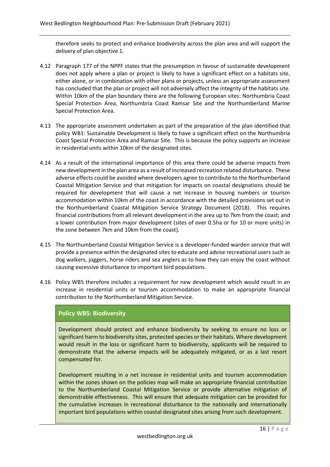therefore seeks to protect and enhance biodiversity across the plan area and will support the delivery of plan objective 1.

- 4.12 Paragraph 177 of the NPPF states that the presumption in favour of sustainable development does not apply where a plan or project is likely to have a significant effect on a habitats site, either alone, or in combination with other plans or projects, unless an appropriate assessment has concluded that the plan or project will not adversely affect the integrity of the habitats site. Within 10km of the plan boundary there are the following European sites: Northumbria Coast Special Protection Area, Northumbria Coast Ramsar Site and the Northumberland Marine Special Protection Area.
- 4.13 The appropriate assessment undertaken as part of the preparation of the plan identified that policy WB1: Sustainable Development is likely to have a significant effect on the Northumbria Coast Special Protection Area and Ramsar Site. This is because the policy supports an increase in residential units within 10km of the designated sites.
- 4.14 As a result of the international importance of this area there could be adverse impacts from new development in the plan area as a result of increased recreation related disturbance. These adverse effects could be avoided where developers agree to contribute to the Northumberland Coastal Mitigation Service and that mitigation for impacts on coastal designations should be required for development that will cause a net increase in housing numbers or tourism accommodation within 10km of the coast in accordance with the detailed provisions set out in the Northumberland Coastal Mitigation Service Strategy Document (2018). This requires financial contributions from all relevant development in the area up to 7km from the coast; and a lower contribution from major development (sites of over 0.5ha or for 10 or more units) in the zone between 7km and 10km from the coast).
- 4.15 The Northumberland Coastal Mitigation Service is a developer-funded warden service that will provide a presence within the designated sites to educate and advise recreational users such as dog walkers, joggers, horse riders and sea anglers as to how they can enjoy the coast without causing excessive disturbance to important bird populations.
- 4.16 Policy WB5 therefore includes a requirement for new development which would result in an increase in residential units or tourism accommodation to make an appropriate financial contribution to the Northumberland Mitigation Service.

## **Policy WB5: Biodiversity**

Development should protect and enhance biodiversity by seeking to ensure no loss or significant harm to biodiversity sites, protected species or their habitats. Where development would result in the loss or significant harm to biodiversity, applicants will be required to demonstrate that the adverse impacts will be adequately mitigated, or as a last resort compensated for.

Development resulting in a net increase in residential units and tourism accommodation within the zones shown on the policies map will make an appropriate financial contribution to the Northumberland Coastal Mitigation Service or provide alternative mitigation of demonstrable effectiveness. This will ensure that adequate mitigation can be provided for the cumulative increases in recreational disturbance to the nationally and internationally important bird populations within coastal designated sites arising from such development.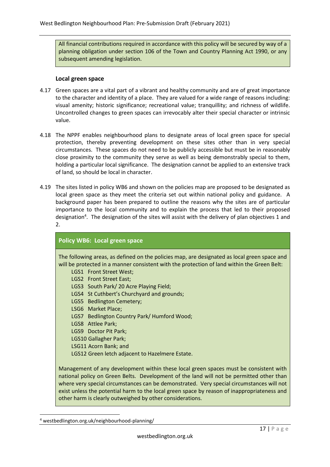All financial contributions required in accordance with this policy will be secured by way of a planning obligation under section 106 of the Town and Country Planning Act 1990, or any subsequent amending legislation.

#### **Local green space**

- 4.17 Green spaces are a vital part of a vibrant and healthy community and are of great importance to the character and identity of a place. They are valued for a wide range of reasons including: visual amenity; historic significance; recreational value; tranquillity; and richness of wildlife. Uncontrolled changes to green spaces can irrevocably alter their special character or intrinsic value.
- 4.18 The NPPF enables neighbourhood plans to designate areas of local green space for special protection, thereby preventing development on these sites other than in very special circumstances. These spaces do not need to be publicly accessible but must be in reasonably close proximity to the community they serve as well as being demonstrably special to them, holding a particular local significance. The designation cannot be applied to an extensive track of land, so should be local in character.
- 4.19 The sites listed in policy WB6 and shown on the policies map are proposed to be designated as local green space as they meet the criteria set out within national policy and guidance. A background paper has been prepared to outline the reasons why the sites are of particular importance to the local community and to explain the process that led to their proposed designation<sup>4</sup>. The designation of the sites will assist with the delivery of plan objectives 1 and 2.

#### **Policy WB6: Local green space**

The following areas, as defined on the policies map, are designated as local green space and will be protected in a manner consistent with the protection of land within the Green Belt:

LGS1 Front Street West; LGS2 Front Street East; LGS3 South Park/ 20 Acre Playing Field; LGS4 St Cuthbert's Churchyard and grounds; LGS5 Bedlington Cemetery; LSG6 Market Place; LGS7 Bedlington Country Park/ Humford Wood; LGS8 Attlee Park; LGS9 Doctor Pit Park; LGS10 Gallagher Park; LSG11 Acorn Bank; and LGS12 Green letch adjacent to Hazelmere Estate.

Management of any development within these local green spaces must be consistent with national policy on Green Belts. Development of the land will not be permitted other than where very special circumstances can be demonstrated. Very special circumstances will not exist unless the potential harm to the local green space by reason of inappropriateness and other harm is clearly outweighed by other considerations.

<sup>4</sup> westbedlington.org.uk/neighbourhood-planning/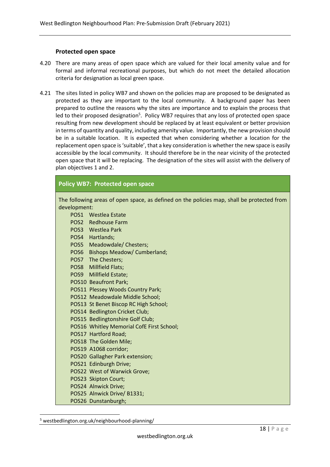#### **Protected open space**

- 4.20 There are many areas of open space which are valued for their local amenity value and for formal and informal recreational purposes, but which do not meet the detailed allocation criteria for designation as local green space.
- 4.21 The sites listed in policy WB7 and shown on the policies map are proposed to be designated as protected as they are important to the local community. A background paper has been prepared to outline the reasons why the sites are importance and to explain the process that led to their proposed designation<sup>5</sup>. Policy WB7 requires that any loss of protected open space resulting from new development should be replaced by at least equivalent or better provision in terms of quantity and quality, including amenity value. Importantly, the new provision should be in a suitable location. It is expected that when considering whether a location for the replacement open space is 'suitable', that a key consideration is whether the new space is easily accessible by the local community. It should therefore be in the near vicinity of the protected open space that it will be replacing. The designation of the sites will assist with the delivery of plan objectives 1 and 2.

#### **Policy WB7: Protected open space**

The following areas of open space, as defined on the policies map, shall be protected from development: POS1 Westlea Estate

POS2 Redhouse Farm POS3 Westlea Park POS4 Hartlands; POS5 Meadowdale/ Chesters; POS6 Bishops Meadow/ Cumberland; POS7 The Chesters; POS8 Millfield Flats; POS9 Millfield Estate; POS10 Beaufront Park; POS11 Plessey Woods Country Park; POS12 Meadowdale Middle School; POS13 St Benet Biscop RC High School; POS14 Bedlington Cricket Club; POS15 Bedlingtonshire Golf Club; POS16 Whitley Memorial CofE First School; POS17 Hartford Road; POS18 The Golden Mile; POS19 A1068 corridor; POS20 Gallagher Park extension; POS21 Edinburgh Drive; POS22 West of Warwick Grove; POS23 Skipton Court; POS24 Alnwick Drive; POS25 Alnwick Drive/ B1331; POS26 Dunstanburgh;

<sup>5</sup> westbedlington.org.uk/neighbourhood-planning/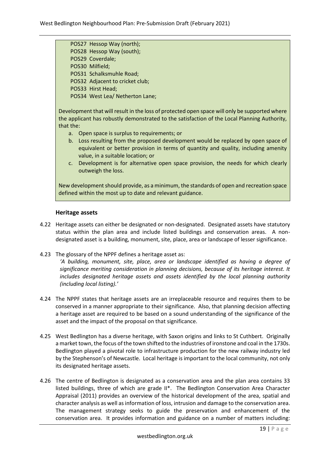POS27 Hessop Way (north); POS28 Hessop Way (south); POS29 Coverdale; POS30 Milfield; POS31 Schalksmuhle Road; POS32 Adjacent to cricket club; POS33 Hirst Head; POS34 West Lea/ Netherton Lane;

Development that will result in the loss of protected open space will only be supported where the applicant has robustly demonstrated to the satisfaction of the Local Planning Authority, that the:

- a. Open space is surplus to requirements; or
- b. Loss resulting from the proposed development would be replaced by open space of equivalent or better provision in terms of quantity and quality, including amenity value, in a suitable location; or
- c. Development is for alternative open space provision, the needs for which clearly outweigh the loss.

New development should provide, as a minimum, the standards of open and recreation space defined within the most up to date and relevant guidance.

#### **Heritage assets**

- 4.22 Heritage assets can either be designated or non-designated. Designated assets have statutory status within the plan area and include listed buildings and conservation areas. A nondesignated asset is a building, monument, site, place, area or landscape of lesser significance.
- 4.23 The glossary of the NPPF defines a heritage asset as:

*'A building, monument, site, place, area or landscape identified as having a degree of significance meriting consideration in planning decisions, because of its heritage interest. It includes designated heritage assets and assets identified by the local planning authority (including local listing).'*

- 4.24 The NPPF states that heritage assets are an irreplaceable resource and requires them to be conserved in a manner appropriate to their significance. Also, that planning decision affecting a heritage asset are required to be based on a sound understanding of the significance of the asset and the impact of the proposal on that significance.
- 4.25 West Bedlington has a diverse heritage, with Saxon origins and links to St Cuthbert. Originally a market town, the focus of the town shifted to the industries of ironstone and coal in the 1730s. Bedlington played a pivotal role to infrastructure production for the new railway industry led by the Stephenson's of Newcastle. Local heritage is important to the local community, not only its designated heritage assets.
- 4.26 The centre of Bedlington is designated as a conservation area and the plan area contains 33 listed buildings, three of which are grade II\*. The Bedlington Conservation Area Character Appraisal (2011) provides an overview of the historical development of the area, spatial and character analysis as well as information of loss, intrusion and damage to the conservation area. The management strategy seeks to guide the preservation and enhancement of the conservation area. It provides information and guidance on a number of matters including: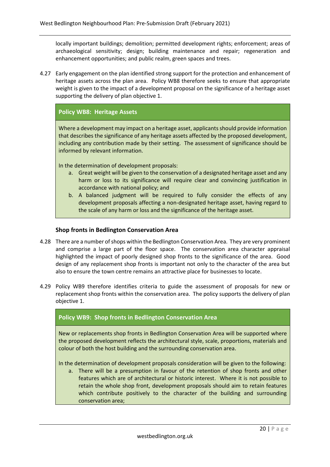locally important buildings; demolition; permitted development rights; enforcement; areas of archaeological sensitivity; design; building maintenance and repair; regeneration and enhancement opportunities; and public realm, green spaces and trees.

4.27 Early engagement on the plan identified strong support for the protection and enhancement of heritage assets across the plan area. Policy WB8 therefore seeks to ensure that appropriate weight is given to the impact of a development proposal on the significance of a heritage asset supporting the delivery of plan objective 1.

#### **Policy WB8: Heritage Assets**

Where a development may impact on a heritage asset, applicants should provide information that describes the significance of any heritage assets affected by the proposed development, including any contribution made by their setting. The assessment of significance should be informed by relevant information.

In the determination of development proposals:

- a. Great weight will be given to the conservation of a designated heritage asset and any harm or loss to its significance will require clear and convincing justification in accordance with national policy; and
- b. A balanced judgment will be required to fully consider the effects of any development proposals affecting a non-designated heritage asset, having regard to the scale of any harm or loss and the significance of the heritage asset.

#### **Shop fronts in Bedlington Conservation Area**

- 4.28 There are a number of shops within the Bedlington Conservation Area. They are very prominent and comprise a large part of the floor space. The conservation area character appraisal highlighted the impact of poorly designed shop fronts to the significance of the area. Good design of any replacement shop fronts is important not only to the character of the area but also to ensure the town centre remains an attractive place for businesses to locate.
- 4.29 Policy WB9 therefore identifies criteria to guide the assessment of proposals for new or replacement shop fronts within the conservation area. The policy supports the delivery of plan objective 1.

#### **Policy WB9: Shop fronts in Bedlington Conservation Area**

New or replacements shop fronts in Bedlington Conservation Area will be supported where the proposed development reflects the architectural style, scale, proportions, materials and colour of both the host building and the surrounding conservation area.

In the determination of development proposals consideration will be given to the following:

a. There will be a presumption in favour of the retention of shop fronts and other features which are of architectural or historic interest. Where it is not possible to retain the whole shop front, development proposals should aim to retain features which contribute positively to the character of the building and surrounding conservation area;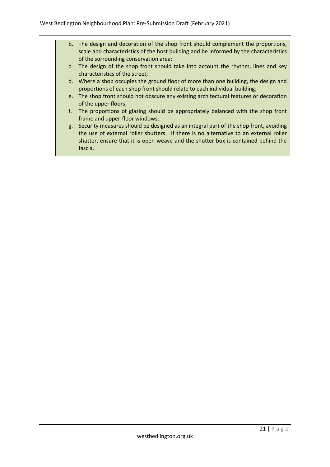- b. The design and decoration of the shop front should complement the proportions, scale and characteristics of the host building and be informed by the characteristics of the surrounding conservation area;
- c. The design of the shop front should take into account the rhythm, lines and key characteristics of the street;
- d. Where a shop occupies the ground floor of more than one building, the design and proportions of each shop front should relate to each individual building;
- e. The shop front should not obscure any existing architectural features or decoration of the upper floors;
- f. The proportions of glazing should be appropriately balanced with the shop front frame and upper-floor windows;
- g. Security measures should be designed as an integral part of the shop front, avoiding the use of external roller shutters. If there is no alternative to an external roller shutter, ensure that it is open weave and the shutter box is contained behind the fascia.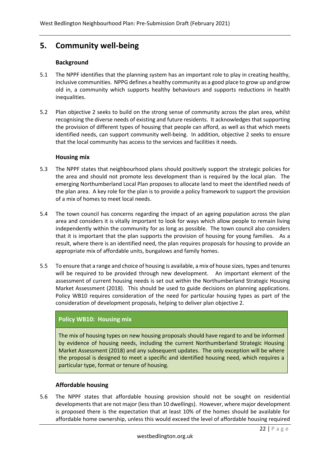# **5. Community well-being**

### **Background**

- 5.1 The NPPF identifies that the planning system has an important role to play in creating healthy, inclusive communities. NPPG defines a healthy community as a good place to grow up and grow old in, a community which supports healthy behaviours and supports reductions in health inequalities.
- 5.2 Plan objective 2 seeks to build on the strong sense of community across the plan area, whilst recognising the diverse needs of existing and future residents. It acknowledges that supporting the provision of different types of housing that people can afford, as well as that which meets identified needs, can support community well-being. In addition, objective 2 seeks to ensure that the local community has access to the services and facilities it needs.

#### **Housing mix**

- 5.3 The NPPF states that neighbourhood plans should positively support the strategic policies for the area and should not promote less development than is required by the local plan. The emerging Northumberland Local Plan proposes to allocate land to meet the identified needs of the plan area. A key role for the plan is to provide a policy framework to support the provision of a mix of homes to meet local needs.
- 5.4 The town council has concerns regarding the impact of an ageing population across the plan area and considers it is vitally important to look for ways which allow people to remain living independently within the community for as long as possible. The town council also considers that it is important that the plan supports the provision of housing for young families. As a result, where there is an identified need, the plan requires proposals for housing to provide an appropriate mix of affordable units, bungalows and family homes.
- 5.5 To ensure that a range and choice of housing is available, a mix of house sizes, types and tenures will be required to be provided through new development. An important element of the assessment of current housing needs is set out within the Northumberland Strategic Housing Market Assessment (2018). This should be used to guide decisions on planning applications. Policy WB10 requires consideration of the need for particular housing types as part of the consideration of development proposals, helping to deliver plan objective 2.

## **Policy WB10: Housing mix**

The mix of housing types on new housing proposals should have regard to and be informed by evidence of housing needs, including the current Northumberland Strategic Housing Market Assessment (2018) and any subsequent updates. The only exception will be where the proposal is designed to meet a specific and identified housing need, which requires a particular type, format or tenure of housing.

## **Affordable housing**

5.6 The NPPF states that affordable housing provision should not be sought on residential developments that are not major (less than 10 dwellings). However, where major development is proposed there is the expectation that at least 10% of the homes should be available for affordable home ownership, unless this would exceed the level of affordable housing required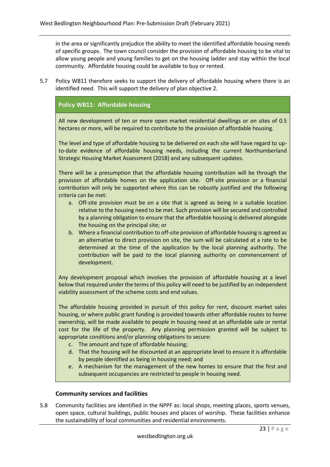in the area or significantly prejudice the ability to meet the identified affordable housing needs of specific groups. The town council consider the provision of affordable housing to be vital to allow young people and young families to get on the housing ladder and stay within the local community. Affordable housing could be available to buy or rented.

5.7 Policy WB11 therefore seeks to support the delivery of affordable housing where there is an identified need. This will support the delivery of plan objective 2.

## **Policy WB11: Affordable housing**

All new development of ten or more open market residential dwellings or on sites of 0.5 hectares or more, will be required to contribute to the provision of affordable housing.

The level and type of affordable housing to be delivered on each site will have regard to upto-date evidence of affordable housing needs, including the current Northumberland Strategic Housing Market Assessment (2018) and any subsequent updates.

There will be a presumption that the affordable housing contribution will be through the provision of affordable homes on the application site. Off-site provision or a financial contribution will only be supported where this can be robustly justified and the following criteria can be met:

- a. Off-site provision must be on a site that is agreed as being in a suitable location relative to the housing need to be met. Such provision will be secured and controlled by a planning obligation to ensure that the affordable housing is delivered alongside the housing on the principal site; or
- b. Where a financial contribution to off-site provision of affordable housing is agreed as an alternative to direct provision on site, the sum will be calculated at a rate to be determined at the time of the application by the local planning authority. The contribution will be paid to the local planning authority on commencement of development.

Any development proposal which involves the provision of affordable housing at a level below that required under the terms of this policy will need to be justified by an independent viability assessment of the scheme costs and end values.

The affordable housing provided in pursuit of this policy for rent, discount market sales housing, or where public grant funding is provided towards other affordable routes to home ownership, will be made available to people in housing need at an affordable sale or rental cost for the life of the property. Any planning permission granted will be subject to appropriate conditions and/or planning obligations to secure:

- c. The amount and type of affordable housing;
- d. That the housing will be discounted at an appropriate level to ensure it is affordable by people identified as being in housing need; and
- e. A mechanism for the management of the new homes to ensure that the first and subsequent occupancies are restricted to people in housing need.

#### **Community services and facilities**

5.8 Community facilities are identified in the NPPF as: local shops, meeting places, sports venues, open space, cultural buildings, public houses and places of worship. These facilities enhance the sustainability of local communities and residential environments.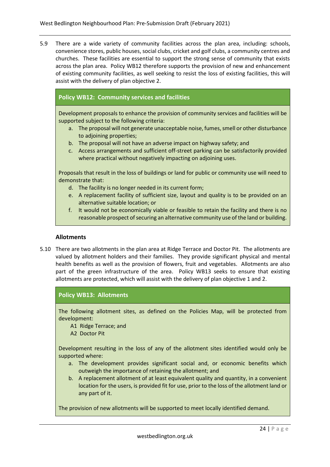5.9 There are a wide variety of community facilities across the plan area, including: schools, convenience stores, public houses, social clubs, cricket and golf clubs, a community centres and churches. These facilities are essential to support the strong sense of community that exists across the plan area. Policy WB12 therefore supports the provision of new and enhancement of existing community facilities, as well seeking to resist the loss of existing facilities, this will assist with the delivery of plan objective 2.

## **Policy WB12: Community services and facilities**

Development proposals to enhance the provision of community services and facilities will be supported subject to the following criteria:

- a. The proposal will not generate unacceptable noise, fumes, smell or other disturbance to adjoining properties;
- b. The proposal will not have an adverse impact on highway safety; and
- c. Access arrangements and sufficient off-street parking can be satisfactorily provided where practical without negatively impacting on adjoining uses.

Proposals that result in the loss of buildings or land for public or community use will need to demonstrate that:

- d. The facility is no longer needed in its current form;
- e. A replacement facility of sufficient size, layout and quality is to be provided on an alternative suitable location; or
- f. It would not be economically viable or feasible to retain the facility and there is no reasonable prospect of securing an alternative community use of the land or building.

#### **Allotments**

5.10 There are two allotments in the plan area at Ridge Terrace and Doctor Pit. The allotments are valued by allotment holders and their families. They provide significant physical and mental health benefits as well as the provision of flowers, fruit and vegetables. Allotments are also part of the green infrastructure of the area. Policy WB13 seeks to ensure that existing allotments are protected, which will assist with the delivery of plan objective 1 and 2.

#### **Policy WB13: Allotments**

The following allotment sites, as defined on the Policies Map, will be protected from development:

- A1 Ridge Terrace; and
- A2 Doctor Pit

Development resulting in the loss of any of the allotment sites identified would only be supported where:

- a. The development provides significant social and, or economic benefits which outweigh the importance of retaining the allotment; and
- b. A replacement allotment of at least equivalent quality and quantity, in a convenient location for the users, is provided fit for use, prior to the loss of the allotment land or any part of it.

The provision of new allotments will be supported to meet locally identified demand.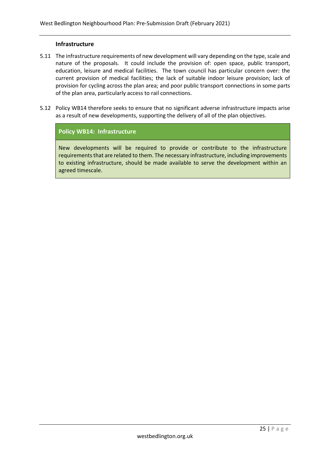#### **Infrastructure**

- 5.11 The infrastructure requirements of new development will vary depending on the type, scale and nature of the proposals. It could include the provision of: open space, public transport, education, leisure and medical facilities. The town council has particular concern over: the current provision of medical facilities; the lack of suitable indoor leisure provision; lack of provision for cycling across the plan area; and poor public transport connections in some parts of the plan area, particularly access to rail connections.
- 5.12 Policy WB14 therefore seeks to ensure that no significant adverse infrastructure impacts arise as a result of new developments, supporting the delivery of all of the plan objectives.

#### **Policy WB14: Infrastructure**

New developments will be required to provide or contribute to the infrastructure requirements that are related to them. The necessary infrastructure, including improvements to existing infrastructure, should be made available to serve the development within an agreed timescale.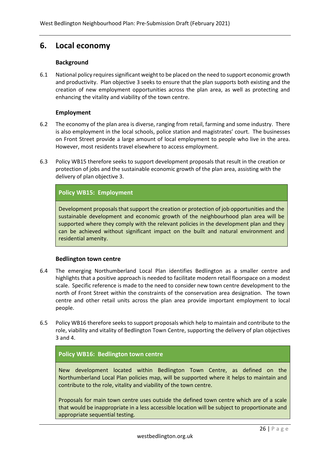## **6. Local economy**

#### **Background**

6.1 National policy requires significant weight to be placed on the need to support economic growth and productivity. Plan objective 3 seeks to ensure that the plan supports both existing and the creation of new employment opportunities across the plan area, as well as protecting and enhancing the vitality and viability of the town centre.

#### **Employment**

- 6.2 The economy of the plan area is diverse, ranging from retail, farming and some industry. There is also employment in the local schools, police station and magistrates' court. The businesses on Front Street provide a large amount of local employment to people who live in the area. However, most residents travel elsewhere to access employment.
- 6.3 Policy WB15 therefore seeks to support development proposals that result in the creation or protection of jobs and the sustainable economic growth of the plan area, assisting with the delivery of plan objective 3.

### **Policy WB15: Employment**

Development proposals that support the creation or protection of job opportunities and the sustainable development and economic growth of the neighbourhood plan area will be supported where they comply with the relevant policies in the development plan and they can be achieved without significant impact on the built and natural environment and residential amenity.

#### **Bedlington town centre**

- 6.4 The emerging Northumberland Local Plan identifies Bedlington as a smaller centre and highlights that a positive approach is needed to facilitate modern retail floorspace on a modest scale. Specific reference is made to the need to consider new town centre development to the north of Front Street within the constraints of the conservation area designation. The town centre and other retail units across the plan area provide important employment to local people.
- 6.5 Policy WB16 therefore seeks to support proposals which help to maintain and contribute to the role, viability and vitality of Bedlington Town Centre, supporting the delivery of plan objectives 3 and 4.

#### **Policy WB16: Bedlington town centre**

New development located within Bedlington Town Centre, as defined on the Northumberland Local Plan policies map, will be supported where it helps to maintain and contribute to the role, vitality and viability of the town centre.

Proposals for main town centre uses outside the defined town centre which are of a scale that would be inappropriate in a less accessible location will be subject to proportionate and appropriate sequential testing.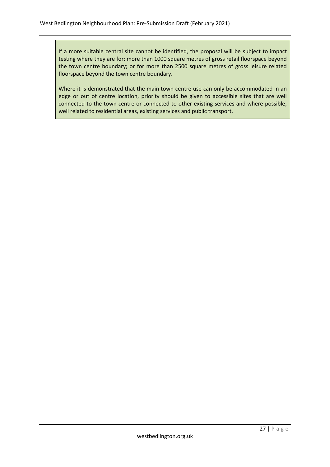If a more suitable central site cannot be identified, the proposal will be subject to impact testing where they are for: more than 1000 square metres of gross retail floorspace beyond the town centre boundary; or for more than 2500 square metres of gross leisure related floorspace beyond the town centre boundary.

Where it is demonstrated that the main town centre use can only be accommodated in an edge or out of centre location, priority should be given to accessible sites that are well connected to the town centre or connected to other existing services and where possible, well related to residential areas, existing services and public transport.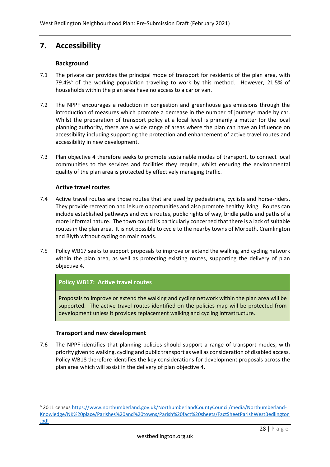# **7. Accessibility**

### **Background**

- 7.1 The private car provides the principal mode of transport for residents of the plan area, with 79.4% $6$  of the working population traveling to work by this method. However, 21.5% of households within the plan area have no access to a car or van.
- 7.2 The NPPF encourages a reduction in congestion and greenhouse gas emissions through the introduction of measures which promote a decrease in the number of journeys made by car. Whilst the preparation of transport policy at a local level is primarily a matter for the local planning authority, there are a wide range of areas where the plan can have an influence on accessibility including supporting the protection and enhancement of active travel routes and accessibility in new development.
- 7.3 Plan objective 4 therefore seeks to promote sustainable modes of transport, to connect local communities to the services and facilities they require, whilst ensuring the environmental quality of the plan area is protected by effectively managing traffic.

#### **Active travel routes**

- 7.4 Active travel routes are those routes that are used by pedestrians, cyclists and horse-riders. They provide recreation and leisure opportunities and also promote healthy living. Routes can include established pathways and cycle routes, public rights of way, bridle paths and paths of a more informal nature. The town council is particularly concerned that there is a lack of suitable routes in the plan area. It is not possible to cycle to the nearby towns of Morpeth, Cramlington and Blyth without cycling on main roads.
- 7.5 Policy WB17 seeks to support proposals to improve or extend the walking and cycling network within the plan area, as well as protecting existing routes, supporting the delivery of plan objective 4.

## **Policy WB17: Active travel routes**

Proposals to improve or extend the walking and cycling network within the plan area will be supported. The active travel routes identified on the policies map will be protected from development unless it provides replacement walking and cycling infrastructure.

#### **Transport and new development**

7.6 The NPPF identifies that planning policies should support a range of transport modes, with priority given to walking, cycling and public transport as well as consideration of disabled access. Policy WB18 therefore identifies the key considerations for development proposals across the plan area which will assist in the delivery of plan objective 4.

<sup>6</sup> 2011 census [https://www.northumberland.gov.uk/NorthumberlandCountyCouncil/media/Northumberland-](https://www.northumberland.gov.uk/NorthumberlandCountyCouncil/media/Northumberland-Knowledge/NK%20place/Parishes%20and%20towns/Parish%20fact%20sheets/FactSheetParishWestBedlington.pdf)[Knowledge/NK%20place/Parishes%20and%20towns/Parish%20fact%20sheets/FactSheetParishWestBedlington](https://www.northumberland.gov.uk/NorthumberlandCountyCouncil/media/Northumberland-Knowledge/NK%20place/Parishes%20and%20towns/Parish%20fact%20sheets/FactSheetParishWestBedlington.pdf) [.pdf](https://www.northumberland.gov.uk/NorthumberlandCountyCouncil/media/Northumberland-Knowledge/NK%20place/Parishes%20and%20towns/Parish%20fact%20sheets/FactSheetParishWestBedlington.pdf)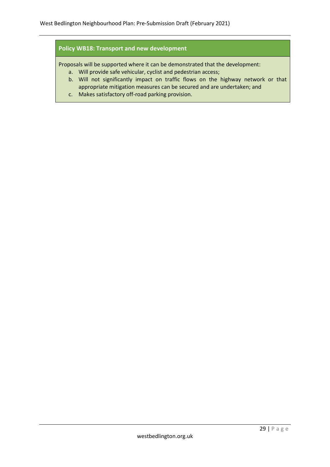### **Policy WB18: Transport and new development**

Proposals will be supported where it can be demonstrated that the development:

- a. Will provide safe vehicular, cyclist and pedestrian access;
- b. Will not significantly impact on traffic flows on the highway network or that appropriate mitigation measures can be secured and are undertaken; and
- c. Makes satisfactory off-road parking provision.